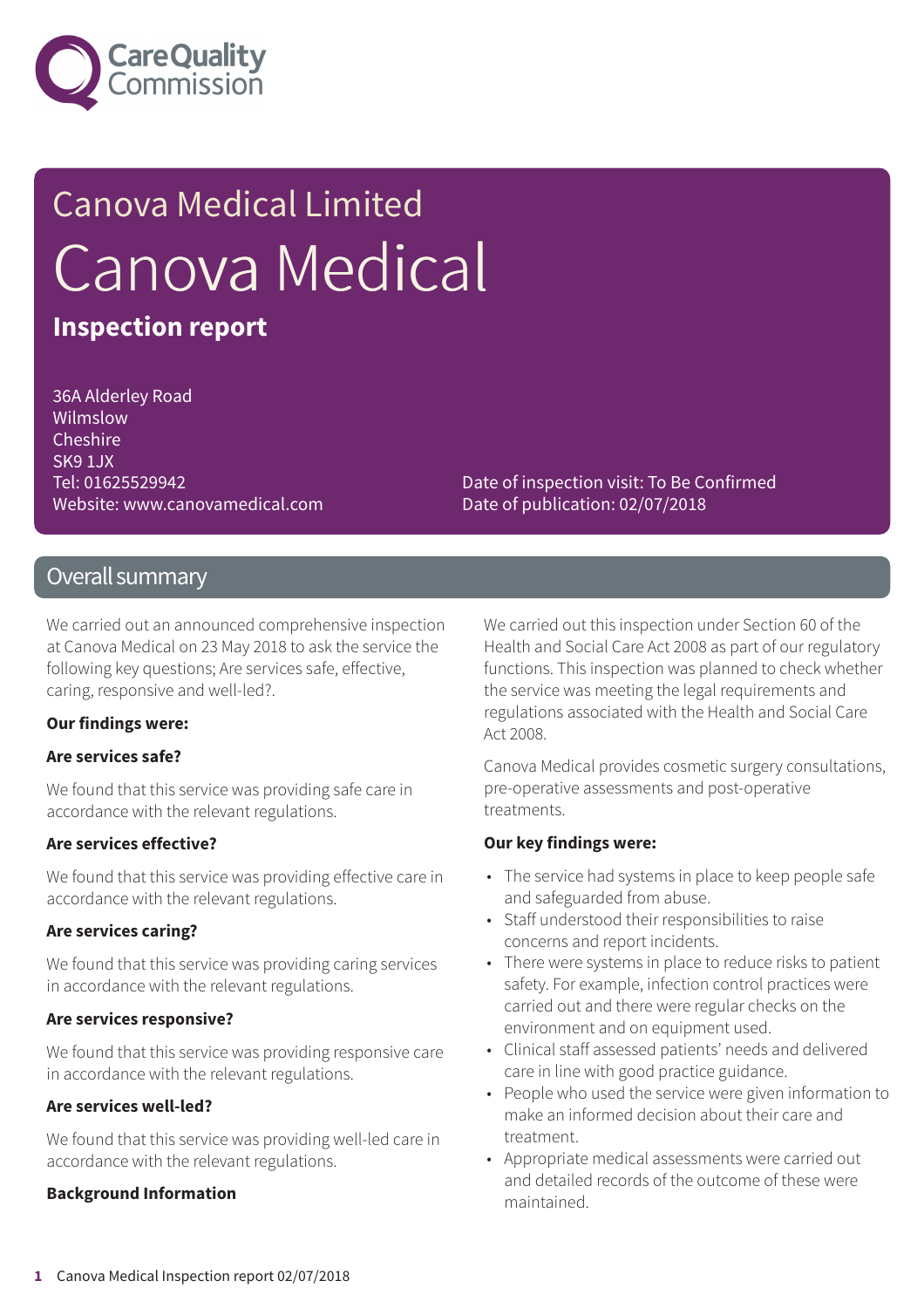

# Canova Medical Limited Canova Medical

### **Inspection report**

36A Alderley Road Wilmslow Cheshire SK9 1JX Tel: 01625529942 Website: www.canovamedical.com

Date of inspection visit: To Be Confirmed Date of publication: 02/07/2018

### Overall summary

We carried out an announced comprehensive inspection at Canova Medical on 23 May 2018 to ask the service the following key questions; Are services safe, effective, caring, responsive and well-led?.

### **Our findings were:**

### **Are services safe?**

We found that this service was providing safe care in accordance with the relevant regulations.

### **Are services effective?**

We found that this service was providing effective care in accordance with the relevant regulations.

### **Are services caring?**

We found that this service was providing caring services in accordance with the relevant regulations.

### **Are services responsive?**

We found that this service was providing responsive care in accordance with the relevant regulations.

### **Are services well-led?**

We found that this service was providing well-led care in accordance with the relevant regulations.

### **Background Information**

We carried out this inspection under Section 60 of the Health and Social Care Act 2008 as part of our regulatory functions. This inspection was planned to check whether the service was meeting the legal requirements and regulations associated with the Health and Social Care Act 2008.

Canova Medical provides cosmetic surgery consultations, pre-operative assessments and post-operative treatments.

### **Our key findings were:**

- The service had systems in place to keep people safe and safeguarded from abuse.
- Staff understood their responsibilities to raise concerns and report incidents.
- There were systems in place to reduce risks to patient safety. For example, infection control practices were carried out and there were regular checks on the environment and on equipment used.
- Clinical staff assessed patients' needs and delivered care in line with good practice guidance.
- People who used the service were given information to make an informed decision about their care and treatment.
- Appropriate medical assessments were carried out and detailed records of the outcome of these were maintained.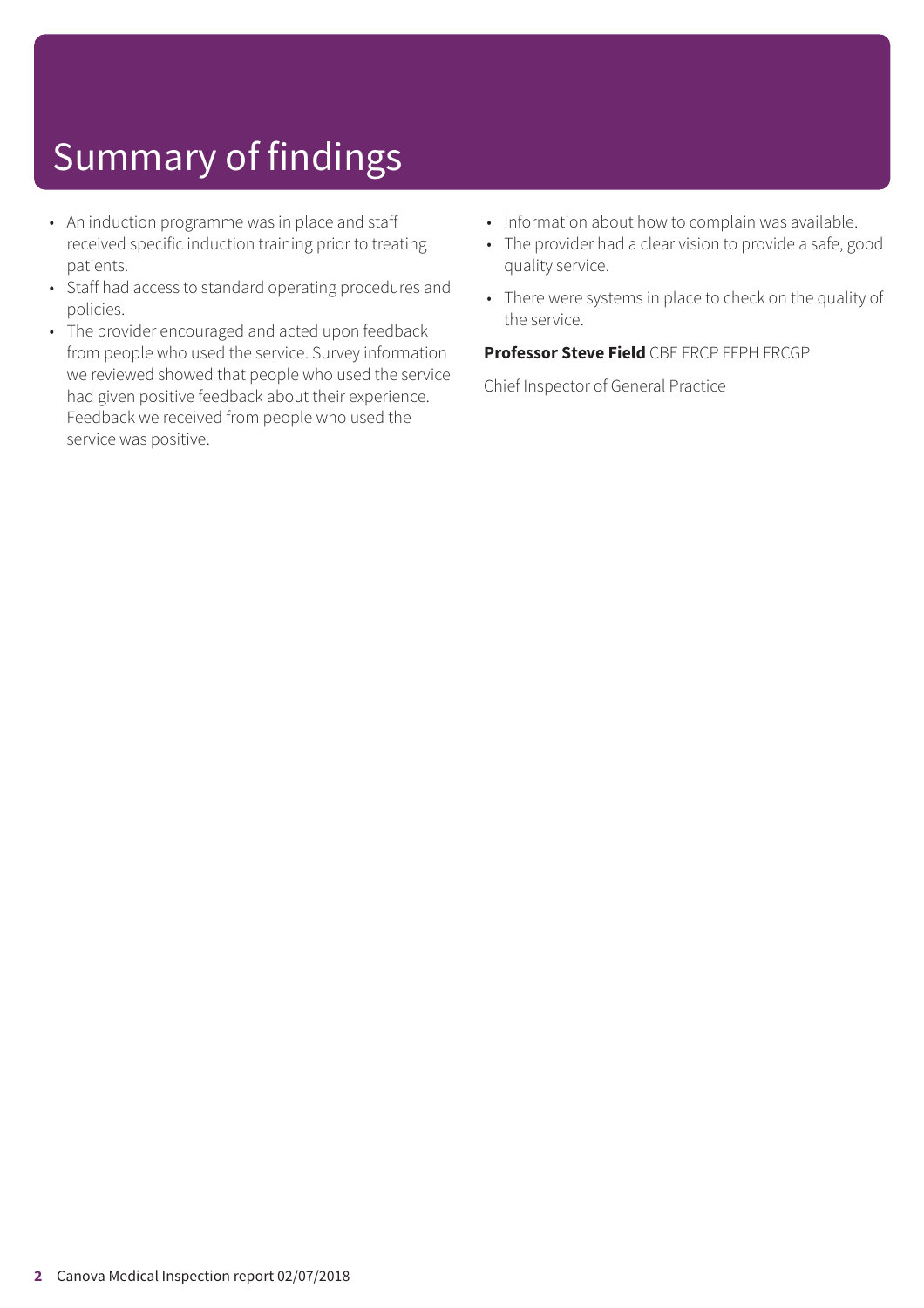## Summary of findings

- An induction programme was in place and staff received specific induction training prior to treating patients.
- Staff had access to standard operating procedures and policies.
- The provider encouraged and acted upon feedback from people who used the service. Survey information we reviewed showed that people who used the service had given positive feedback about their experience. Feedback we received from people who used the service was positive.
- Information about how to complain was available.
- The provider had a clear vision to provide a safe, good quality service.
- There were systems in place to check on the quality of the service.

### **Professor Steve Field** CBE FRCP FFPH FRCGP

Chief Inspector of General Practice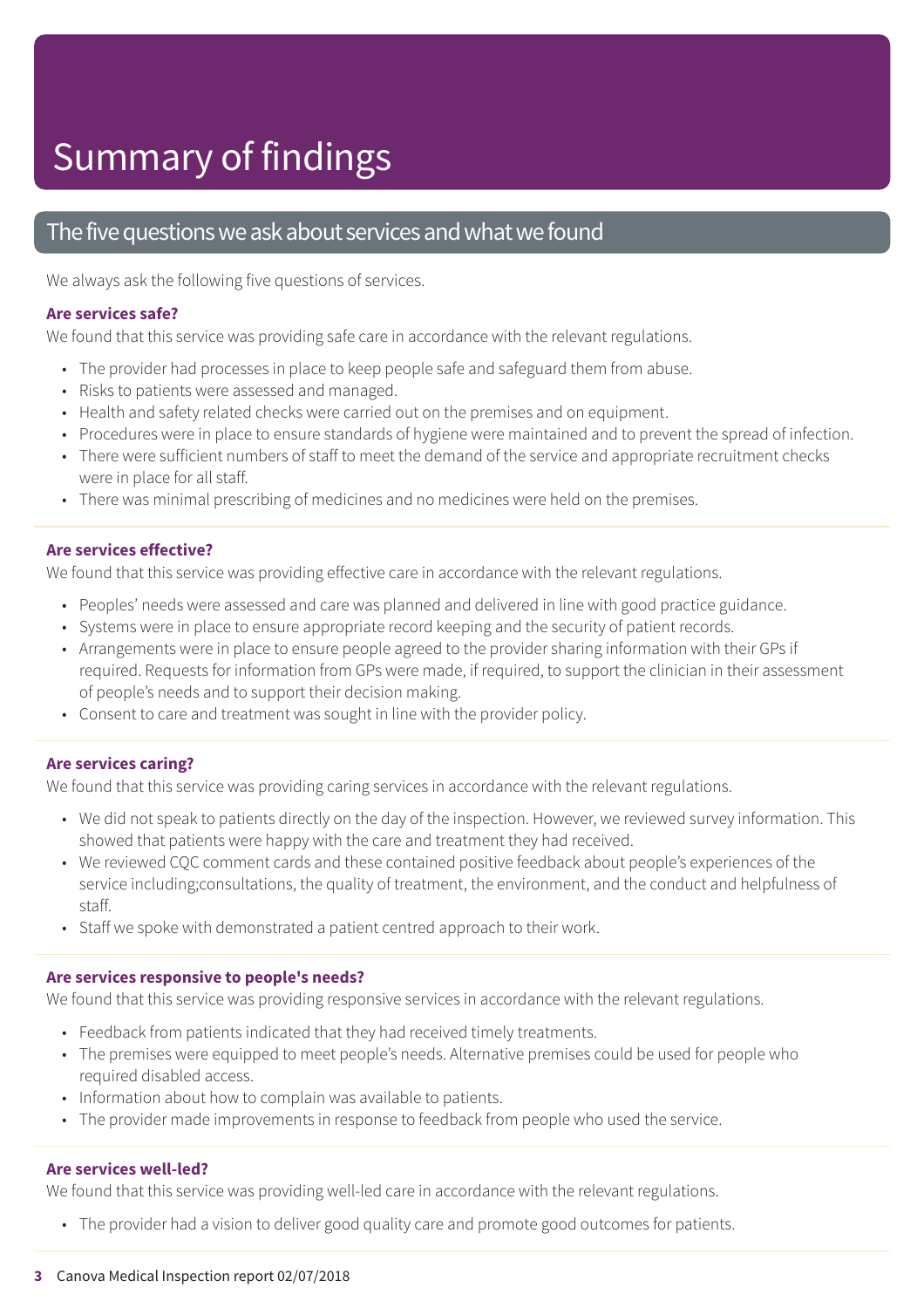### Summary of findings

### The five questions we ask about services and what we found

We always ask the following five questions of services.

#### **Are services safe?**

We found that this service was providing safe care in accordance with the relevant regulations.

- The provider had processes in place to keep people safe and safeguard them from abuse.
- Risks to patients were assessed and managed.
- Health and safety related checks were carried out on the premises and on equipment.
- Procedures were in place to ensure standards of hygiene were maintained and to prevent the spread of infection.
- There were sufficient numbers of staff to meet the demand of the service and appropriate recruitment checks were in place for all staff.
- There was minimal prescribing of medicines and no medicines were held on the premises.

#### **Are services effective?**

We found that this service was providing effective care in accordance with the relevant regulations.

- Peoples' needs were assessed and care was planned and delivered in line with good practice guidance.
- Systems were in place to ensure appropriate record keeping and the security of patient records.
- Arrangements were in place to ensure people agreed to the provider sharing information with their GPs if required. Requests for information from GPs were made, if required, to support the clinician in their assessment of people's needs and to support their decision making.
- Consent to care and treatment was sought in line with the provider policy.

#### **Are services caring?**

We found that this service was providing caring services in accordance with the relevant regulations.

- We did not speak to patients directly on the day of the inspection. However, we reviewed survey information. This showed that patients were happy with the care and treatment they had received.
- We reviewed CQC comment cards and these contained positive feedback about people's experiences of the service including;consultations, the quality of treatment, the environment, and the conduct and helpfulness of staff.
- Staff we spoke with demonstrated a patient centred approach to their work.

#### **Are services responsive to people's needs?**

We found that this service was providing responsive services in accordance with the relevant regulations.

- Feedback from patients indicated that they had received timely treatments.
- The premises were equipped to meet people's needs. Alternative premises could be used for people who required disabled access.
- Information about how to complain was available to patients.
- The provider made improvements in response to feedback from people who used the service.

#### **Are services well-led?**

We found that this service was providing well-led care in accordance with the relevant regulations.

• The provider had a vision to deliver good quality care and promote good outcomes for patients.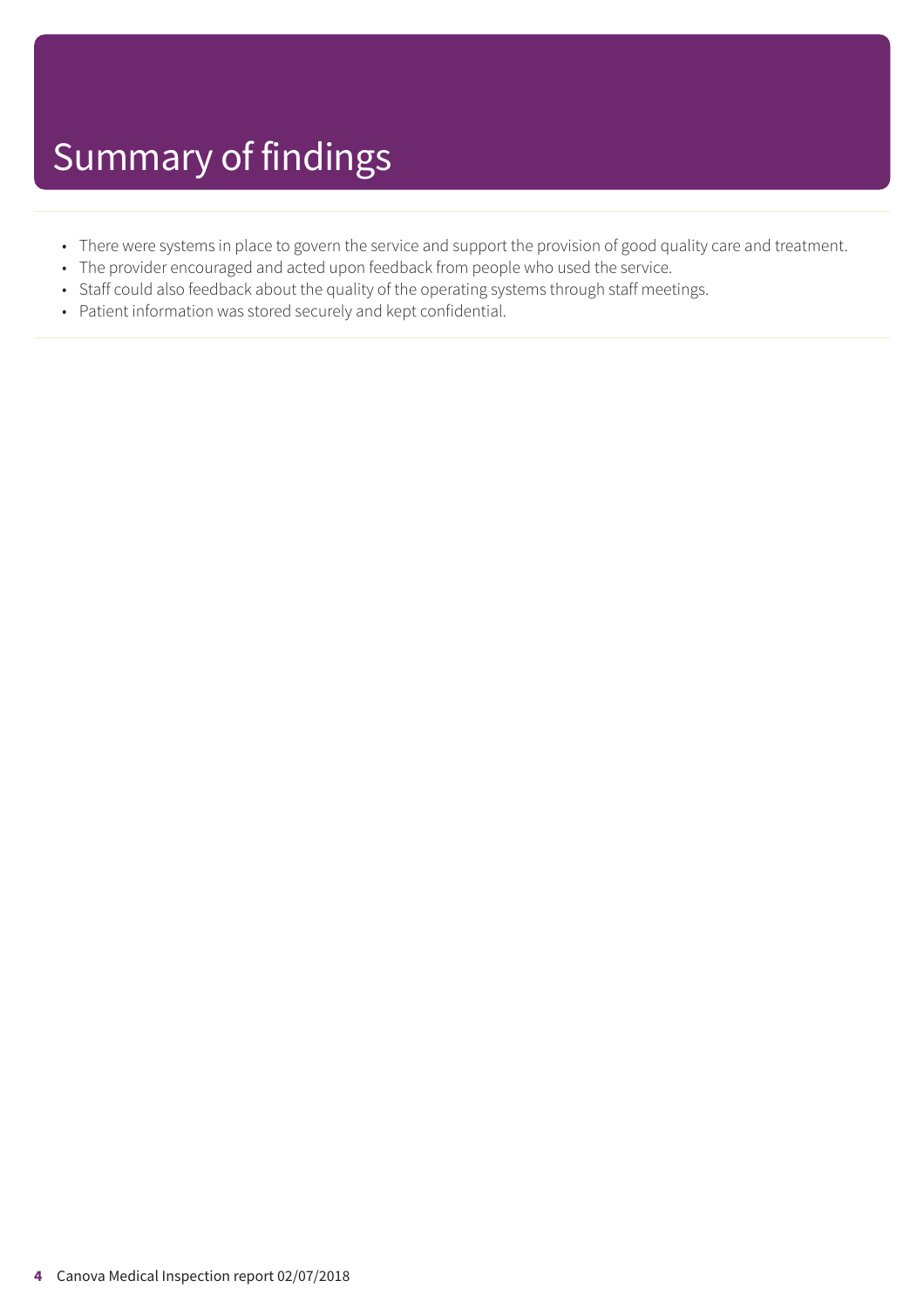- There were systems in place to govern the service and support the provision of good quality care and treatment.
- The provider encouraged and acted upon feedback from people who used the service.
- Staff could also feedback about the quality of the operating systems through staff meetings.
- Patient information was stored securely and kept confidential.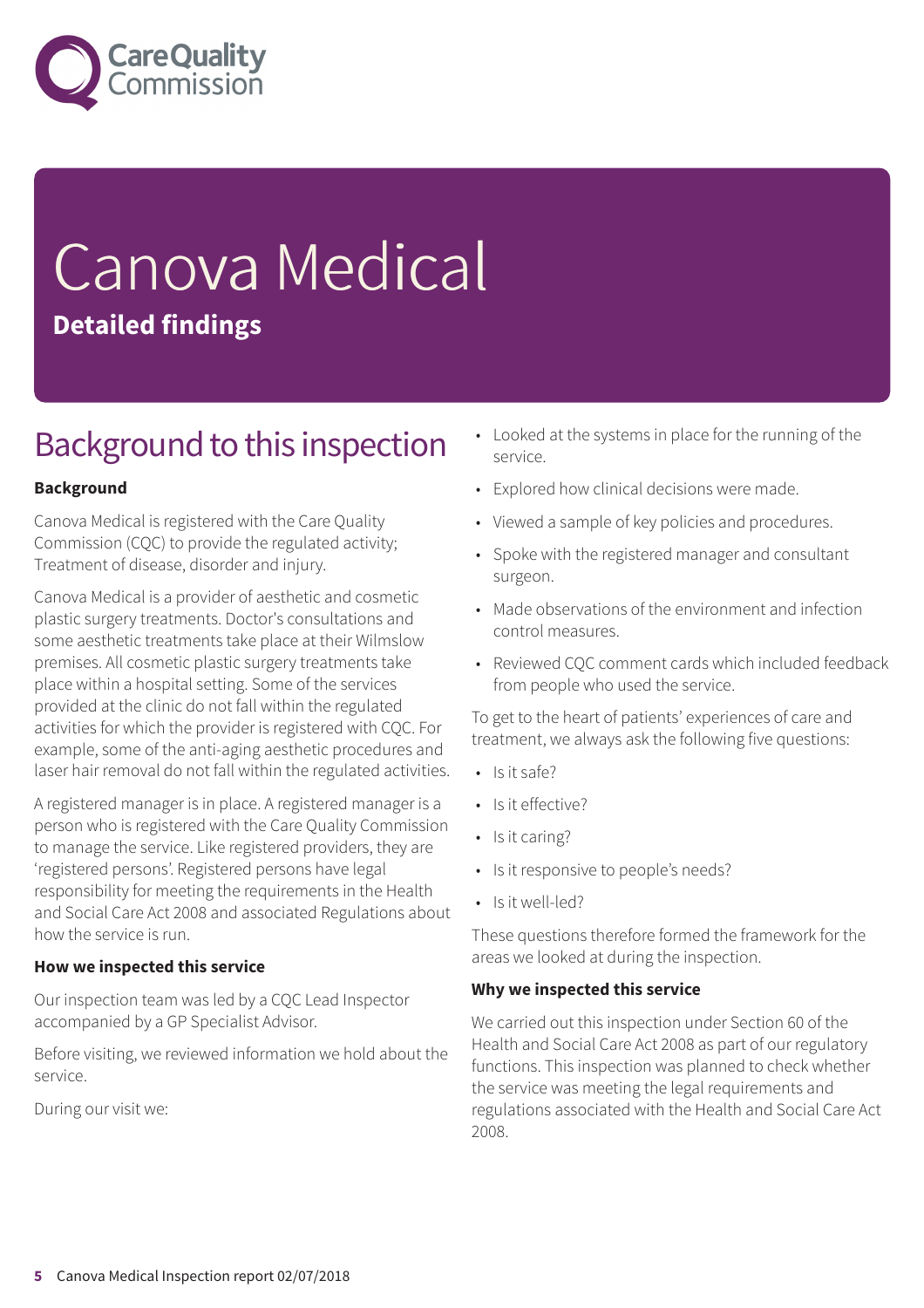

# Canova Medical **Detailed findings**

### Background to this inspection

### **Background**

Canova Medical is registered with the Care Quality Commission (CQC) to provide the regulated activity; Treatment of disease, disorder and injury.

Canova Medical is a provider of aesthetic and cosmetic plastic surgery treatments. Doctor's consultations and some aesthetic treatments take place at their Wilmslow premises. All cosmetic plastic surgery treatments take place within a hospital setting. Some of the services provided at the clinic do not fall within the regulated activities for which the provider is registered with CQC. For example, some of the anti-aging aesthetic procedures and laser hair removal do not fall within the regulated activities.

A registered manager is in place. A registered manager is a person who is registered with the Care Quality Commission to manage the service. Like registered providers, they are 'registered persons'. Registered persons have legal responsibility for meeting the requirements in the Health and Social Care Act 2008 and associated Regulations about how the service is run.

### **How we inspected this service**

Our inspection team was led by a CQC Lead Inspector accompanied by a GP Specialist Advisor.

Before visiting, we reviewed information we hold about the service.

During our visit we:

- Looked at the systems in place for the running of the service.
- Explored how clinical decisions were made.
- Viewed a sample of key policies and procedures.
- Spoke with the registered manager and consultant surgeon.
- Made observations of the environment and infection control measures.
- Reviewed CQC comment cards which included feedback from people who used the service.

To get to the heart of patients' experiences of care and treatment, we always ask the following five questions:

- Is it safe?
- Is it effective?
- Is it caring?
- Is it responsive to people's needs?
- Is it well-led?

These questions therefore formed the framework for the areas we looked at during the inspection.

### **Why we inspected this service**

We carried out this inspection under Section 60 of the Health and Social Care Act 2008 as part of our regulatory functions. This inspection was planned to check whether the service was meeting the legal requirements and regulations associated with the Health and Social Care Act 2008.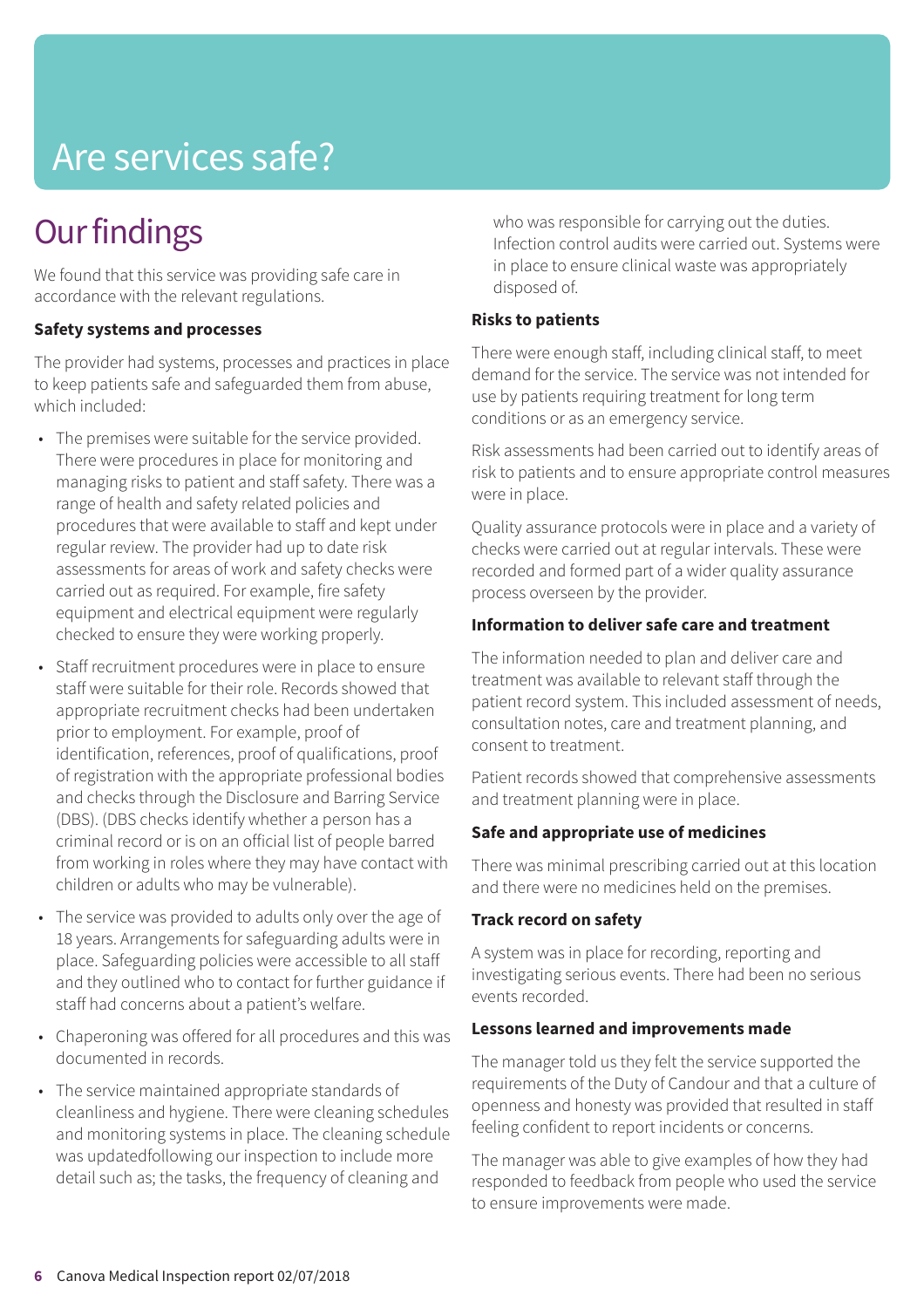### Are services safe?

### **Our findings**

We found that this service was providing safe care in accordance with the relevant regulations.

### **Safety systems and processes**

The provider had systems, processes and practices in place to keep patients safe and safeguarded them from abuse, which included:

- The premises were suitable for the service provided. There were procedures in place for monitoring and managing risks to patient and staff safety. There was a range of health and safety related policies and procedures that were available to staff and kept under regular review. The provider had up to date risk assessments for areas of work and safety checks were carried out as required. For example, fire safety equipment and electrical equipment were regularly checked to ensure they were working properly.
- Staff recruitment procedures were in place to ensure staff were suitable for their role. Records showed that appropriate recruitment checks had been undertaken prior to employment. For example, proof of identification, references, proof of qualifications, proof of registration with the appropriate professional bodies and checks through the Disclosure and Barring Service (DBS). (DBS checks identify whether a person has a criminal record or is on an official list of people barred from working in roles where they may have contact with children or adults who may be vulnerable).
- The service was provided to adults only over the age of 18 years. Arrangements for safeguarding adults were in place. Safeguarding policies were accessible to all staff and they outlined who to contact for further guidance if staff had concerns about a patient's welfare.
- Chaperoning was offered for all procedures and this was documented in records.
- The service maintained appropriate standards of cleanliness and hygiene. There were cleaning schedules and monitoring systems in place. The cleaning schedule was updatedfollowing our inspection to include more detail such as; the tasks, the frequency of cleaning and

who was responsible for carrying out the duties. Infection control audits were carried out. Systems were in place to ensure clinical waste was appropriately disposed of.

### **Risks to patients**

There were enough staff, including clinical staff, to meet demand for the service. The service was not intended for use by patients requiring treatment for long term conditions or as an emergency service.

Risk assessments had been carried out to identify areas of risk to patients and to ensure appropriate control measures were in place.

Quality assurance protocols were in place and a variety of checks were carried out at regular intervals. These were recorded and formed part of a wider quality assurance process overseen by the provider.

### **Information to deliver safe care and treatment**

The information needed to plan and deliver care and treatment was available to relevant staff through the patient record system. This included assessment of needs, consultation notes, care and treatment planning, and consent to treatment.

Patient records showed that comprehensive assessments and treatment planning were in place.

### **Safe and appropriate use of medicines**

There was minimal prescribing carried out at this location and there were no medicines held on the premises.

### **Track record on safety**

A system was in place for recording, reporting and investigating serious events. There had been no serious events recorded.

### **Lessons learned and improvements made**

The manager told us they felt the service supported the requirements of the Duty of Candour and that a culture of openness and honesty was provided that resulted in staff feeling confident to report incidents or concerns.

The manager was able to give examples of how they had responded to feedback from people who used the service to ensure improvements were made.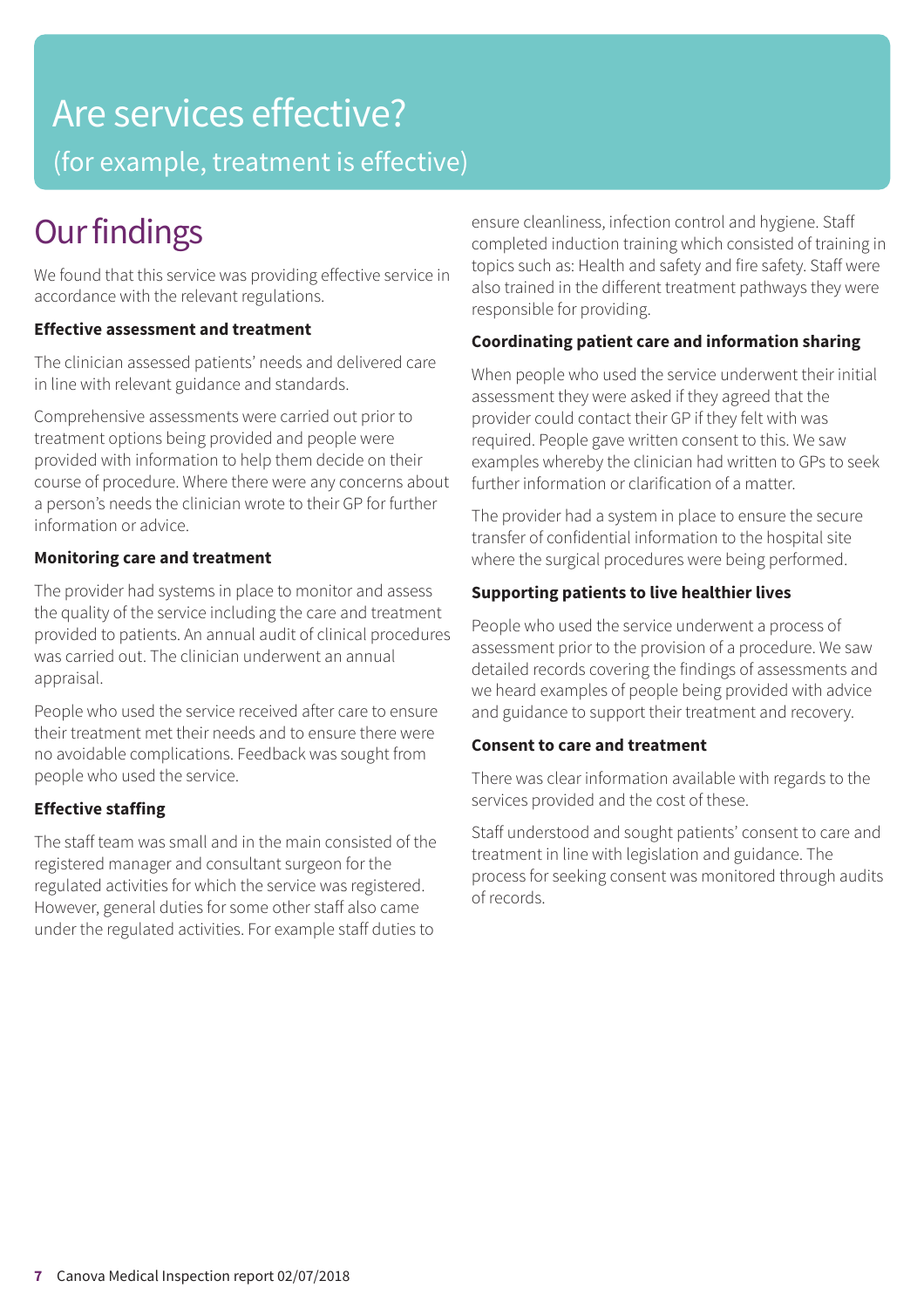### Are services effective?

(for example, treatment is effective)

### **Our findings**

We found that this service was providing effective service in accordance with the relevant regulations.

### **Effective assessment and treatment**

The clinician assessed patients' needs and delivered care in line with relevant guidance and standards.

Comprehensive assessments were carried out prior to treatment options being provided and people were provided with information to help them decide on their course of procedure. Where there were any concerns about a person's needs the clinician wrote to their GP for further information or advice.

### **Monitoring care and treatment**

The provider had systems in place to monitor and assess the quality of the service including the care and treatment provided to patients. An annual audit of clinical procedures was carried out. The clinician underwent an annual appraisal.

People who used the service received after care to ensure their treatment met their needs and to ensure there were no avoidable complications. Feedback was sought from people who used the service.

### **Effective staffing**

The staff team was small and in the main consisted of the registered manager and consultant surgeon for the regulated activities for which the service was registered. However, general duties for some other staff also came under the regulated activities. For example staff duties to

ensure cleanliness, infection control and hygiene. Staff completed induction training which consisted of training in topics such as: Health and safety and fire safety. Staff were also trained in the different treatment pathways they were responsible for providing.

### **Coordinating patient care and information sharing**

When people who used the service underwent their initial assessment they were asked if they agreed that the provider could contact their GP if they felt with was required. People gave written consent to this. We saw examples whereby the clinician had written to GPs to seek further information or clarification of a matter.

The provider had a system in place to ensure the secure transfer of confidential information to the hospital site where the surgical procedures were being performed.

### **Supporting patients to live healthier lives**

People who used the service underwent a process of assessment prior to the provision of a procedure. We saw detailed records covering the findings of assessments and we heard examples of people being provided with advice and guidance to support their treatment and recovery.

### **Consent to care and treatment**

There was clear information available with regards to the services provided and the cost of these.

Staff understood and sought patients' consent to care and treatment in line with legislation and guidance. The process for seeking consent was monitored through audits of records.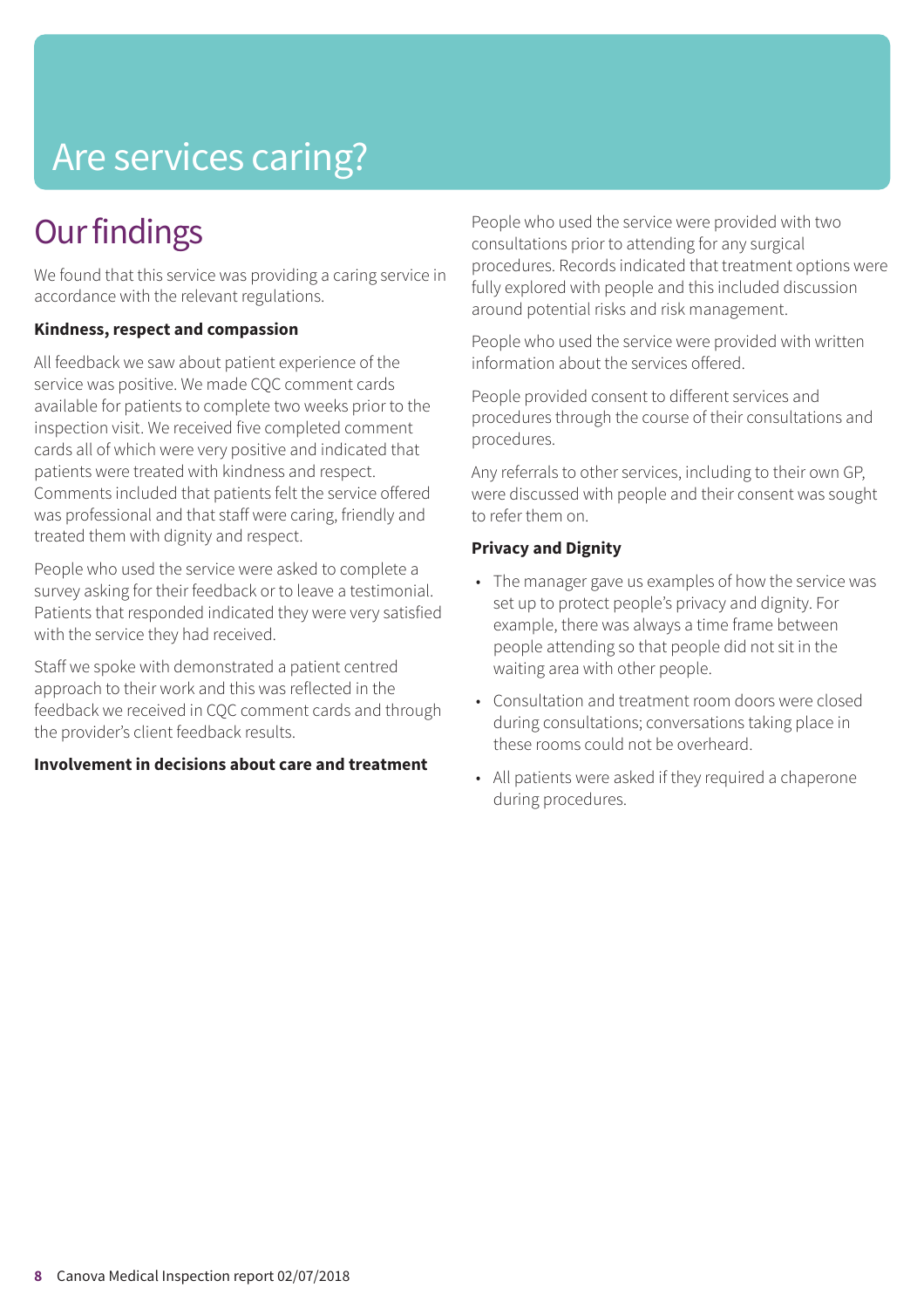## Are services caring?

### **Our findings**

We found that this service was providing a caring service in accordance with the relevant regulations.

### **Kindness, respect and compassion**

All feedback we saw about patient experience of the service was positive. We made CQC comment cards available for patients to complete two weeks prior to the inspection visit. We received five completed comment cards all of which were very positive and indicated that patients were treated with kindness and respect. Comments included that patients felt the service offered was professional and that staff were caring, friendly and treated them with dignity and respect.

People who used the service were asked to complete a survey asking for their feedback or to leave a testimonial. Patients that responded indicated they were very satisfied with the service they had received.

Staff we spoke with demonstrated a patient centred approach to their work and this was reflected in the feedback we received in CQC comment cards and through the provider's client feedback results.

### **Involvement in decisions about care and treatment**

People who used the service were provided with two consultations prior to attending for any surgical procedures. Records indicated that treatment options were fully explored with people and this included discussion around potential risks and risk management.

People who used the service were provided with written information about the services offered.

People provided consent to different services and procedures through the course of their consultations and procedures.

Any referrals to other services, including to their own GP, were discussed with people and their consent was sought to refer them on.

### **Privacy and Dignity**

- The manager gave us examples of how the service was set up to protect people's privacy and dignity. For example, there was always a time frame between people attending so that people did not sit in the waiting area with other people.
- Consultation and treatment room doors were closed during consultations; conversations taking place in these rooms could not be overheard.
- All patients were asked if they required a chaperone during procedures.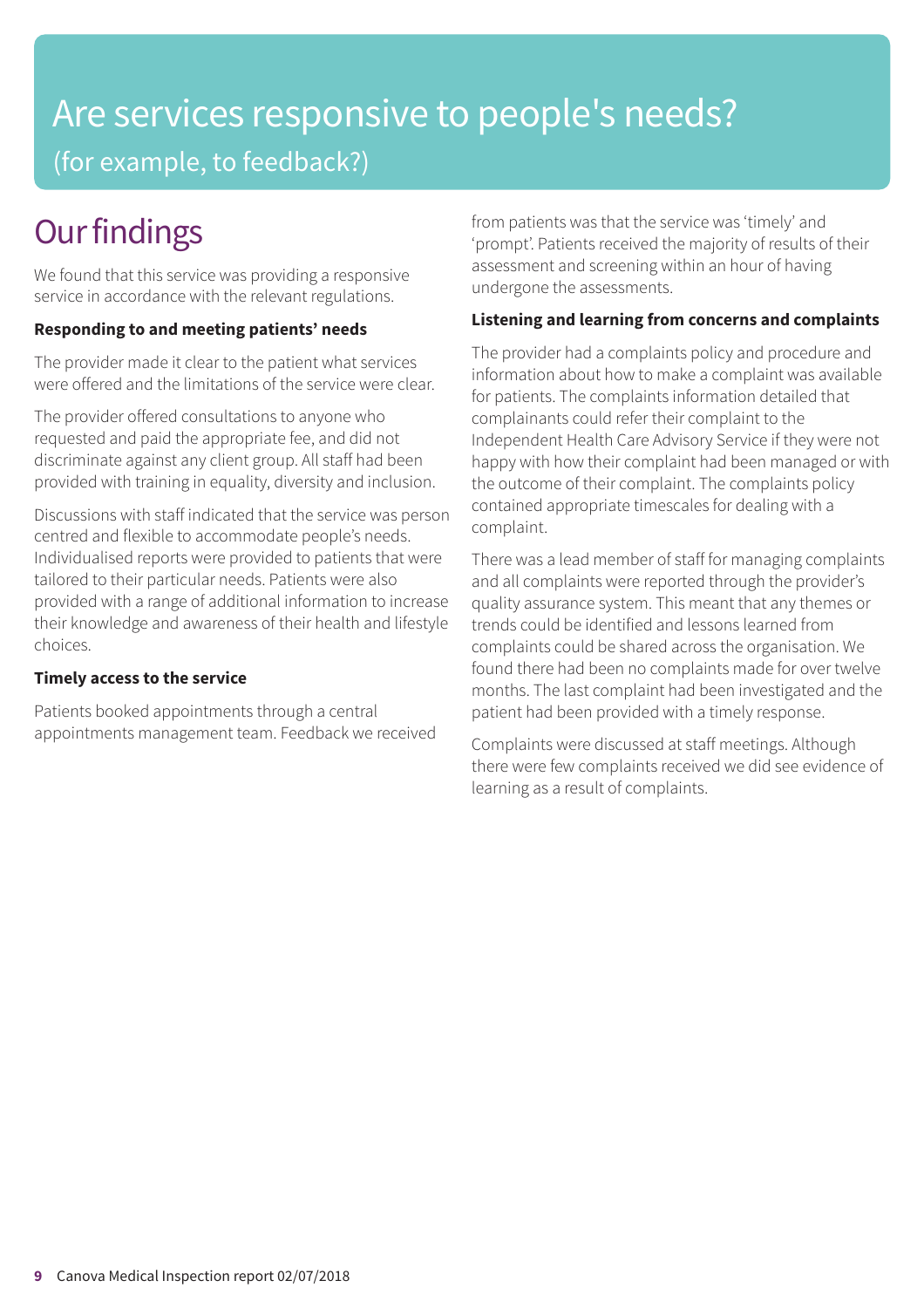### Are services responsive to people's needs? (for example, to feedback?)

### **Our findings**

We found that this service was providing a responsive service in accordance with the relevant regulations.

### **Responding to and meeting patients' needs**

The provider made it clear to the patient what services were offered and the limitations of the service were clear.

The provider offered consultations to anyone who requested and paid the appropriate fee, and did not discriminate against any client group. All staff had been provided with training in equality, diversity and inclusion.

Discussions with staff indicated that the service was person centred and flexible to accommodate people's needs. Individualised reports were provided to patients that were tailored to their particular needs. Patients were also provided with a range of additional information to increase their knowledge and awareness of their health and lifestyle choices.

### **Timely access to the service**

Patients booked appointments through a central appointments management team. Feedback we received from patients was that the service was 'timely' and 'prompt'. Patients received the majority of results of their assessment and screening within an hour of having undergone the assessments.

### **Listening and learning from concerns and complaints**

The provider had a complaints policy and procedure and information about how to make a complaint was available for patients. The complaints information detailed that complainants could refer their complaint to the Independent Health Care Advisory Service if they were not happy with how their complaint had been managed or with the outcome of their complaint. The complaints policy contained appropriate timescales for dealing with a complaint.

There was a lead member of staff for managing complaints and all complaints were reported through the provider's quality assurance system. This meant that any themes or trends could be identified and lessons learned from complaints could be shared across the organisation. We found there had been no complaints made for over twelve months. The last complaint had been investigated and the patient had been provided with a timely response.

Complaints were discussed at staff meetings. Although there were few complaints received we did see evidence of learning as a result of complaints.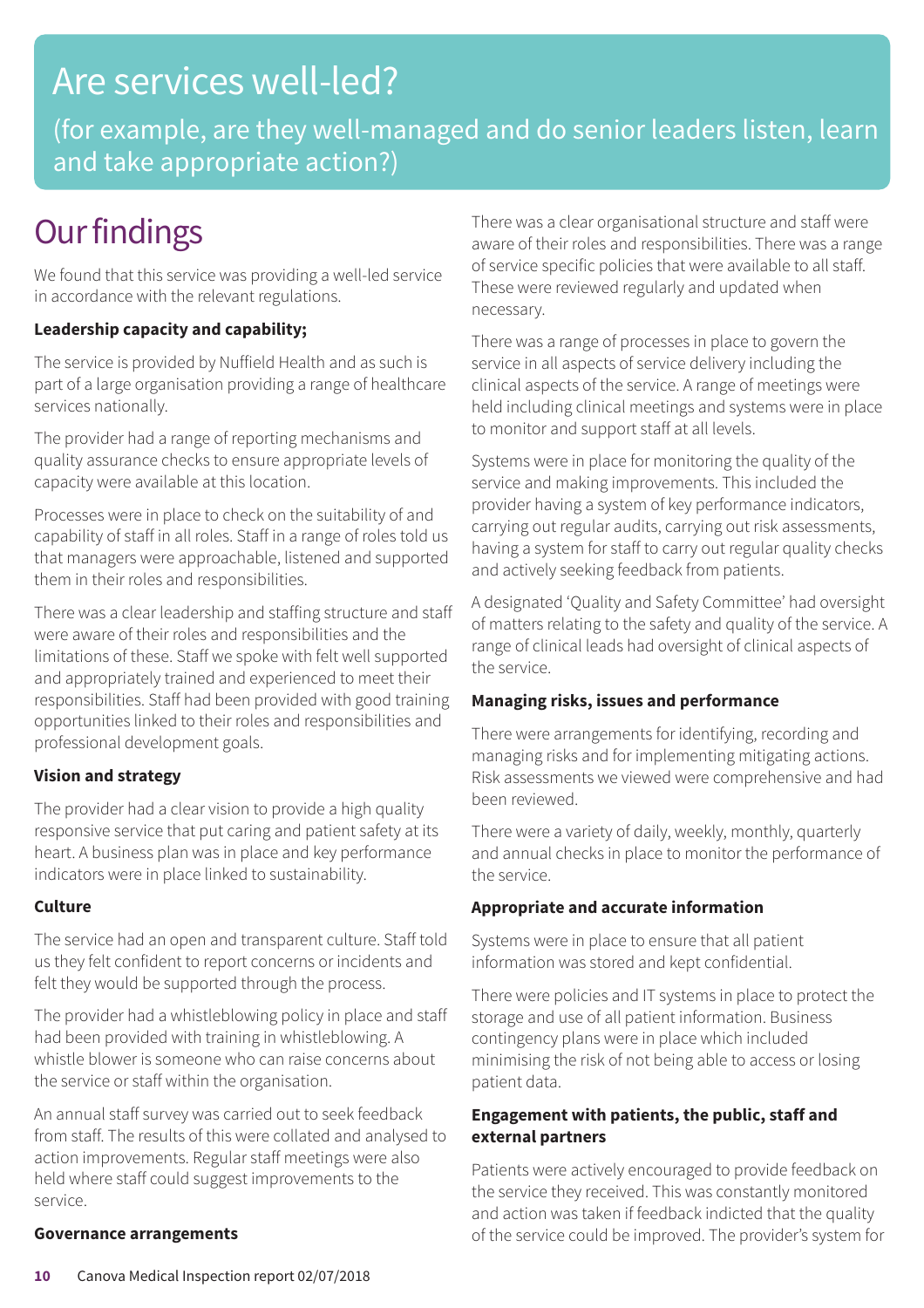### Are services well-led?

(for example, are they well-managed and do senior leaders listen, learn and take appropriate action?)

### **Our findings**

We found that this service was providing a well-led service in accordance with the relevant regulations.

### **Leadership capacity and capability;**

The service is provided by Nuffield Health and as such is part of a large organisation providing a range of healthcare services nationally.

The provider had a range of reporting mechanisms and quality assurance checks to ensure appropriate levels of capacity were available at this location.

Processes were in place to check on the suitability of and capability of staff in all roles. Staff in a range of roles told us that managers were approachable, listened and supported them in their roles and responsibilities.

There was a clear leadership and staffing structure and staff were aware of their roles and responsibilities and the limitations of these. Staff we spoke with felt well supported and appropriately trained and experienced to meet their responsibilities. Staff had been provided with good training opportunities linked to their roles and responsibilities and professional development goals.

### **Vision and strategy**

The provider had a clear vision to provide a high quality responsive service that put caring and patient safety at its heart. A business plan was in place and key performance indicators were in place linked to sustainability.

### **Culture**

The service had an open and transparent culture. Staff told us they felt confident to report concerns or incidents and felt they would be supported through the process.

The provider had a whistleblowing policy in place and staff had been provided with training in whistleblowing. A whistle blower is someone who can raise concerns about the service or staff within the organisation.

An annual staff survey was carried out to seek feedback from staff. The results of this were collated and analysed to action improvements. Regular staff meetings were also held where staff could suggest improvements to the service.

### **Governance arrangements**

There was a clear organisational structure and staff were aware of their roles and responsibilities. There was a range of service specific policies that were available to all staff. These were reviewed regularly and updated when necessary.

There was a range of processes in place to govern the service in all aspects of service delivery including the clinical aspects of the service. A range of meetings were held including clinical meetings and systems were in place to monitor and support staff at all levels.

Systems were in place for monitoring the quality of the service and making improvements. This included the provider having a system of key performance indicators, carrying out regular audits, carrying out risk assessments, having a system for staff to carry out regular quality checks and actively seeking feedback from patients.

A designated 'Quality and Safety Committee' had oversight of matters relating to the safety and quality of the service. A range of clinical leads had oversight of clinical aspects of the service.

### **Managing risks, issues and performance**

There were arrangements for identifying, recording and managing risks and for implementing mitigating actions. Risk assessments we viewed were comprehensive and had been reviewed.

There were a variety of daily, weekly, monthly, quarterly and annual checks in place to monitor the performance of the service.

### **Appropriate and accurate information**

Systems were in place to ensure that all patient information was stored and kept confidential.

There were policies and IT systems in place to protect the storage and use of all patient information. Business contingency plans were in place which included minimising the risk of not being able to access or losing patient data.

### **Engagement with patients, the public, staff and external partners**

Patients were actively encouraged to provide feedback on the service they received. This was constantly monitored and action was taken if feedback indicted that the quality of the service could be improved. The provider's system for